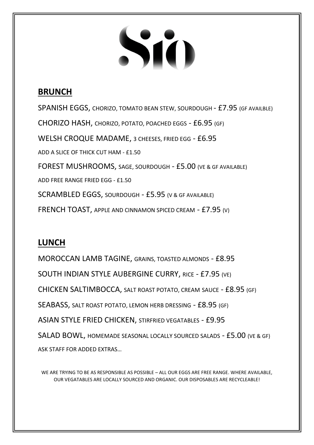# Sú

#### **BRUNCH**

SPANISH EGGS, CHORIZO, TOMATO BEAN STEW, SOURDOUGH - £7.95 (GF AVAILBLE) CHORIZO HASH, CHORIZO, POTATO, POACHED EGGS - £6.95 (GF) WELSH CROQUE MADAME, 3 CHEESES, FRIED EGG - £6.95 ADD A SLICE OF THICK CUT HAM - £1.50 FOREST MUSHROOMS, SAGE, SOURDOUGH - £5.00 (VE & GF AVAILABLE) ADD FREE RANGE FRIED EGG - £1.50 SCRAMBLED EGGS, SOURDOUGH - £5.95 (V & GF AVAILABLE) FRENCH TOAST, APPLE AND CINNAMON SPICED CREAM - £7.95 (V)

#### **LUNCH**

MOROCCAN LAMB TAGINE, GRAINS, TOASTED ALMONDS - £8.95 SOUTH INDIAN STYLE AUBERGINE CURRY, RICE - £7.95 (VE) CHICKEN SALTIMBOCCA, SALT ROAST POTATO, CREAM SAUCE - £8.95 (GF) SEABASS, SALT ROAST POTATO, LEMON HERB DRESSING - £8.95 (GF) ASIAN STYLE FRIED CHICKEN, STIRFRIED VEGATABLES - £9.95 SALAD BOWL, HOMEMADE SEASONAL LOCALLY SOURCED SALADS - £5.00 (VE & GF) ASK STAFF FOR ADDED EXTRAS…

WE ARE TRYING TO BE AS RESPONSIBLE AS POSSIBLE – ALL OUR EGGS ARE FREE RANGE. WHERE AVAILABLE, OUR VEGATABLES ARE LOCALLY SOURCED AND ORGANIC. OUR DISPOSABLES ARE RECYCLEABLE!